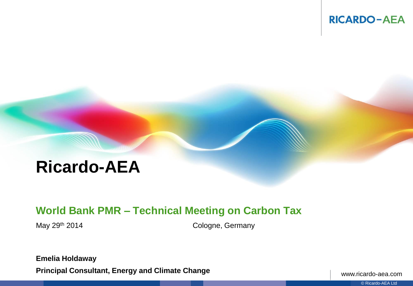

# **Ricardo-AEA**

# **World Bank PMR – Technical Meeting on Carbon Tax**

May 29<sup>th</sup> 2014 **Cologne**, Germany

**Emelia Holdaway Principal Consultant, Energy and Climate Change**

www.ricardo-aea.com

© Ricardo-AEA Ltd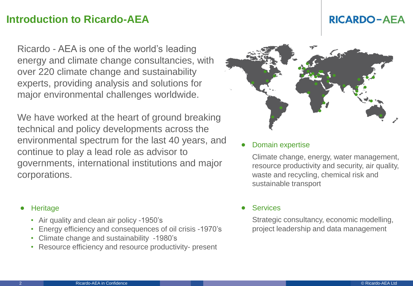# **Introduction to Ricardo-AEA**

Ricardo - AEA is one of the world's leading energy and climate change consultancies, with over 220 climate change and sustainability experts, providing analysis and solutions for major environmental challenges worldwide.

We have worked at the heart of ground breaking technical and policy developments across the environmental spectrum for the last 40 years, and continue to play a lead role as advisor to governments, international institutions and major corporations.

### **Heritage**

- Air quality and clean air policy -1950's
- Energy efficiency and consequences of oil crisis -1970's
- Climate change and sustainability -1980's
- Resource efficiency and resource productivity- present

#### • Domain expertise

Climate change, energy, water management, resource productivity and security, air quality, waste and recycling, chemical risk and sustainable transport

### **Services**

Strategic consultancy, economic modelling, project leadership and data management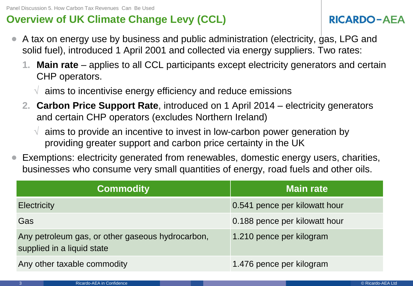# **Overview of UK Climate Change Levy (CCL)**

- A tax on energy use by business and public administration (electricity, gas, LPG and solid fuel), introduced 1 April 2001 and collected via energy suppliers. Two rates:
	- **1. Main rate**  applies to all CCL participants except electricity generators and certain CHP operators.
		- $\sqrt{ }$  aims to incentivise energy efficiency and reduce emissions
	- **2. Carbon Price Support Rate**, introduced on 1 April 2014 electricity generators and certain CHP operators (excludes Northern Ireland)
		- $\sqrt{ }$  aims to provide an incentive to invest in low-carbon power generation by providing greater support and carbon price certainty in the UK
- Exemptions: electricity generated from renewables, domestic energy users, charities, businesses who consume very small quantities of energy, road fuels and other oils.

| <b>Commodity</b>                                                               | <b>Main rate</b>              |
|--------------------------------------------------------------------------------|-------------------------------|
| <b>Electricity</b>                                                             | 0.541 pence per kilowatt hour |
| Gas                                                                            | 0.188 pence per kilowatt hour |
| Any petroleum gas, or other gaseous hydrocarbon,<br>supplied in a liquid state | 1.210 pence per kilogram      |
| Any other taxable commodity                                                    | 1.476 pence per kilogram      |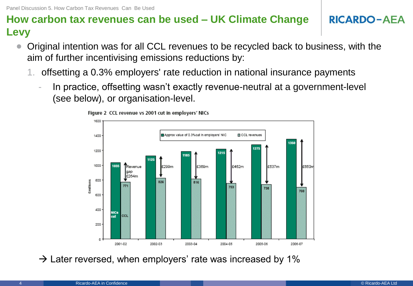# **How carbon tax revenues can be used – UK Climate Change Levy**

- Original intention was for all CCL revenues to be recycled back to business, with the aim of further incentivising emissions reductions by:
	- 1. offsetting a 0.3% employers' rate reduction in national insurance payments
		- In practice, offsetting wasn't exactly revenue-neutral at a government-level (see below), or organisation-level.



Figure 2 CCL revenue vs 2001 cut in employers' NICs

 $\rightarrow$  Later reversed, when employers' rate was increased by 1%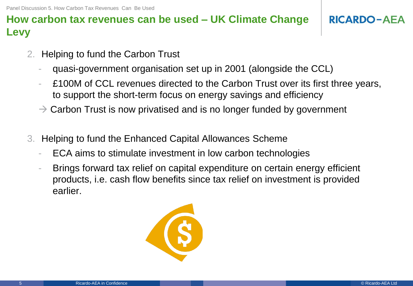Panel Discussion 5. How Carbon Tax Revenues Can Be Used

# **How carbon tax revenues can be used – UK Climate Change Levy**

- 2. Helping to fund the Carbon Trust
	- quasi-government organisation set up in 2001 (alongside the CCL)
	- £100M of CCL revenues directed to the Carbon Trust over its first three years, to support the short-term focus on energy savings and efficiency
	- $\rightarrow$  Carbon Trust is now privatised and is no longer funded by government
- 3. Helping to fund the Enhanced Capital Allowances Scheme
	- ECA aims to stimulate investment in low carbon technologies
	- Brings forward tax relief on capital expenditure on certain energy efficient products, i.e. cash flow benefits since tax relief on investment is provided earlier.

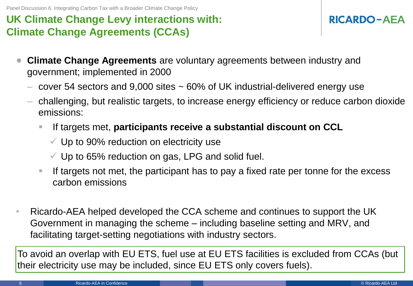Panel Discussion 6. Integrating Carbon Tax with a Broader Climate Change Policy

# **UK Climate Change Levy interactions with: Climate Change Agreements (CCAs)**

# **RICARDO-AEA**

- **Climate Change Agreements** are voluntary agreements between industry and government; implemented in 2000
	- $-$  cover 54 sectors and 9,000 sites  $\sim$  60% of UK industrial-delivered energy use
	- challenging, but realistic targets, to increase energy efficiency or reduce carbon dioxide emissions:
		- If targets met, **participants receive a substantial discount on CCL**
			- $\checkmark$  Up to 90% reduction on electricity use
			- $\checkmark$  Up to 65% reduction on gas, LPG and solid fuel.
		- If targets not met, the participant has to pay a fixed rate per tonne for the excess carbon emissions
- Ricardo-AEA helped developed the CCA scheme and continues to support the UK Government in managing the scheme – including baseline setting and MRV, and facilitating target-setting negotiations with industry sectors.

To avoid an overlap with EU ETS, fuel use at EU ETS facilities is excluded from CCAs (but their electricity use may be included, since EU ETS only covers fuels).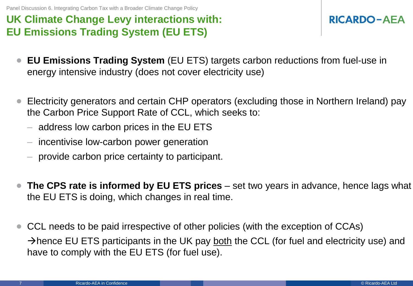Panel Discussion 6. Integrating Carbon Tax with a Broader Climate Change Policy

# **UK Climate Change Levy interactions with: EU Emissions Trading System (EU ETS)**

- **EU Emissions Trading System** (EU ETS) targets carbon reductions from fuel-use in energy intensive industry (does not cover electricity use)
- Electricity generators and certain CHP operators (excluding those in Northern Ireland) pay the Carbon Price Support Rate of CCL, which seeks to:
	- address low carbon prices in the EU ETS
	- incentivise low-carbon power generation
	- provide carbon price certainty to participant.
- **The CPS rate is informed by EU ETS prices**  set two years in advance, hence lags what the EU ETS is doing, which changes in real time.
- CCL needs to be paid irrespective of other policies (with the exception of CCAs) Ahence EU ETS participants in the UK pay both the CCL (for fuel and electricity use) and have to comply with the EU ETS (for fuel use).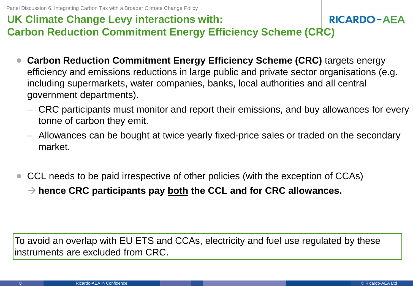### **UK Climate Change Levy interactions with: RICARDO-AEA Carbon Reduction Commitment Energy Efficiency Scheme (CRC)**

- **Carbon Reduction Commitment Energy Efficiency Scheme (CRC)** targets energy efficiency and emissions reductions in large public and private sector organisations (e.g. including supermarkets, water companies, banks, local authorities and all central government departments).
	- CRC participants must monitor and report their emissions, and buy allowances for every tonne of carbon they emit.
	- Allowances can be bought at twice yearly fixed-price sales or traded on the secondary market.
- CCL needs to be paid irrespective of other policies (with the exception of CCAs) **hence CRC participants pay both the CCL and for CRC allowances.**

To avoid an overlap with EU ETS and CCAs, electricity and fuel use regulated by these instruments are excluded from CRC.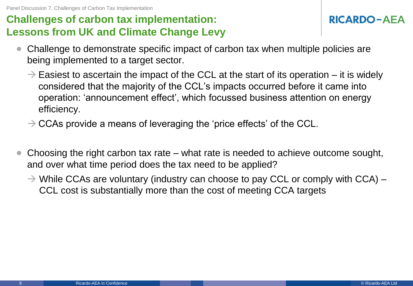Panel Discussion 7. Challenges of Carbon Tax Implementation

# **Challenges of carbon tax implementation: Lessons from UK and Climate Change Levy**

- Challenge to demonstrate specific impact of carbon tax when multiple policies are being implemented to a target sector.
	- $\rightarrow$  Easiest to ascertain the impact of the CCL at the start of its operation it is widely considered that the majority of the CCL's impacts occurred before it came into operation: 'announcement effect', which focussed business attention on energy efficiency.
	- $\rightarrow$  CCAs provide a means of leveraging the 'price effects' of the CCL.
- Choosing the right carbon tax rate what rate is needed to achieve outcome sought, and over what time period does the tax need to be applied?
	- $\rightarrow$  While CCAs are voluntary (industry can choose to pay CCL or comply with CCA) CCL cost is substantially more than the cost of meeting CCA targets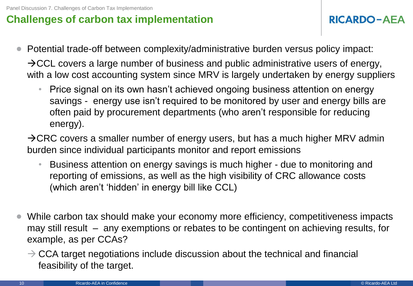# **Challenges of carbon tax implementation**

- Potential trade-off between complexity/administrative burden versus policy impact:  $\rightarrow$  CCL covers a large number of business and public administrative users of energy, with a low cost accounting system since MRV is largely undertaken by energy suppliers
	- Price signal on its own hasn't achieved ongoing business attention on energy savings - energy use isn't required to be monitored by user and energy bills are often paid by procurement departments (who aren't responsible for reducing energy).

 $\rightarrow$  CRC covers a smaller number of energy users, but has a much higher MRV admin burden since individual participants monitor and report emissions

- Business attention on energy savings is much higher due to monitoring and reporting of emissions, as well as the high visibility of CRC allowance costs (which aren't 'hidden' in energy bill like CCL)
- While carbon tax should make your economy more efficiency, competitiveness impacts may still result – any exemptions or rebates to be contingent on achieving results, for example, as per CCAs?
	- $\rightarrow$  CCA target negotiations include discussion about the technical and financial feasibility of the target.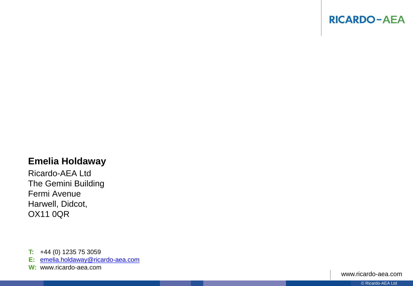

### **Emelia Holdaway**

Ricardo -AEA Ltd The Gemini Building Fermi Avenue Harwell, Didcot, OX11 0QR

**T:** +44 (0) 1235 75 3059

**E:**  [emelia.holdaway@ricardo](mailto:emelia.holdaway@ricardo-aea.com) [-aea.com](mailto:emelia.holdaway@ricardo-aea.com)

**W:**  www.ricardo -aea.com

www.ricardo -aea.com

© Ricardo -AEA Ltd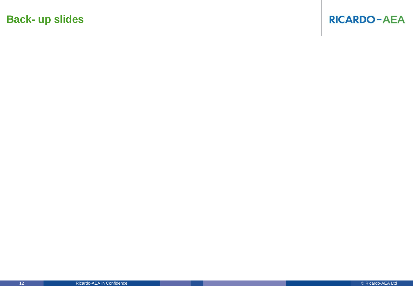# **Back- up slides**

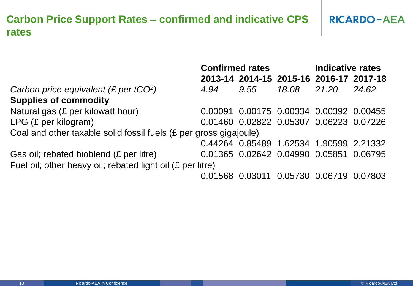#### **Carbon Price Support Rates – confirmed and indicative CPS RICARDO-AEA rates**

|                                                                   | <b>Confirmed rates</b> |      |       | <b>Indicative rates</b>                     |       |
|-------------------------------------------------------------------|------------------------|------|-------|---------------------------------------------|-------|
|                                                                   |                        |      |       | 2013-14 2014-15 2015-16 2016-17 2017-18     |       |
| Carbon price equivalent (£ per $tCO2$ )                           | 4.94                   | 9.55 | 18.08 | 21.20                                       | 24.62 |
| <b>Supplies of commodity</b>                                      |                        |      |       |                                             |       |
| Natural gas (£ per kilowatt hour)                                 |                        |      |       | 0.00091 0.00175 0.00334 0.00392 0.00455     |       |
| $LPG$ (£ per kilogram)                                            |                        |      |       | 0.01460 0.02822 0.05307 0.06223 0.07226     |       |
| Coal and other taxable solid fossil fuels (£ per gross gigajoule) |                        |      |       |                                             |       |
|                                                                   |                        |      |       | 0.44264 0.85489 1.62534 1.90599 2.21332     |       |
| Gas oil; rebated bioblend (£ per litre)                           |                        |      |       | 0.01365 0.02642 0.04990 0.05851 0.06795     |       |
| Fuel oil; other heavy oil; rebated light oil (£ per litre)        |                        |      |       |                                             |       |
|                                                                   |                        |      |       | 0.01568  0.03011  0.05730  0.06719  0.07803 |       |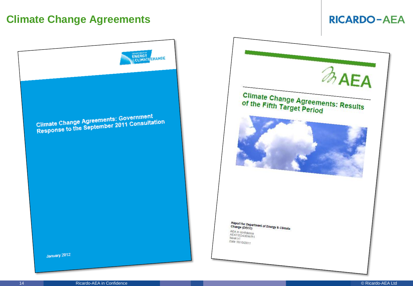# **Climate Change Agreements**



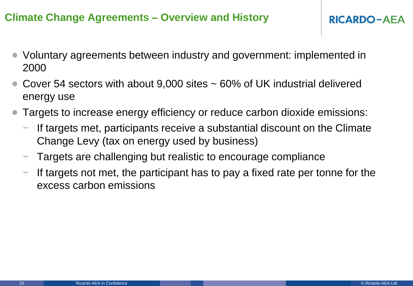# **Climate Change Agreements – Overview and History**

- Voluntary agreements between industry and government: implemented in 2000
- Cover 54 sectors with about 9,000 sites  $\sim$  60% of UK industrial delivered energy use
- Targets to increase energy efficiency or reduce carbon dioxide emissions:
	- If targets met, participants receive a substantial discount on the Climate Change Levy (tax on energy used by business)
	- − Targets are challenging but realistic to encourage compliance
	- If targets not met, the participant has to pay a fixed rate per tonne for the excess carbon emissions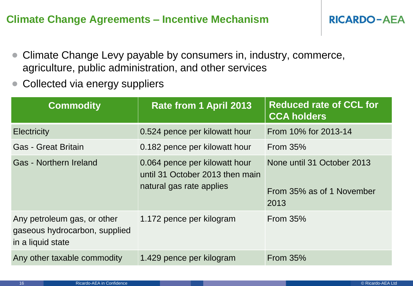# **Climate Change Agreements – Incentive Mechanism**

- Climate Change Levy payable by consumers in, industry, commerce, agriculture, public administration, and other services
- Collected via energy suppliers

| <b>Commodity</b>                                                                  | <b>Rate from 1 April 2013</b>                                                                | <b>Reduced rate of CCL for</b><br><b>CCA holders</b>            |
|-----------------------------------------------------------------------------------|----------------------------------------------------------------------------------------------|-----------------------------------------------------------------|
| <b>Electricity</b>                                                                | 0.524 pence per kilowatt hour                                                                | From 10% for 2013-14                                            |
| <b>Gas - Great Britain</b>                                                        | 0.182 pence per kilowatt hour                                                                | <b>From 35%</b>                                                 |
| <b>Gas - Northern Ireland</b>                                                     | 0.064 pence per kilowatt hour<br>until 31 October 2013 then main<br>natural gas rate applies | None until 31 October 2013<br>From 35% as of 1 November<br>2013 |
| Any petroleum gas, or other<br>gaseous hydrocarbon, supplied<br>in a liquid state | 1.172 pence per kilogram                                                                     | <b>From 35%</b>                                                 |
| Any other taxable commodity                                                       | 1.429 pence per kilogram                                                                     | From $35%$                                                      |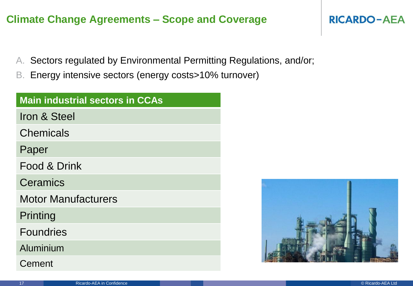# **Climate Change Agreements – Scope and Coverage**

- A. Sectors regulated by Environmental Permitting Regulations, and/or;
- B. Energy intensive sectors (energy costs>10% turnover)

| <b>Main industrial sectors in CCAs</b> |
|----------------------------------------|
| Iron & Steel                           |
| <b>Chemicals</b>                       |
| Paper                                  |
| Food & Drink                           |
| Ceramics                               |
| <b>Motor Manufacturers</b>             |
| Printing                               |
| <b>Foundries</b>                       |
| Aluminium                              |
| Cement                                 |

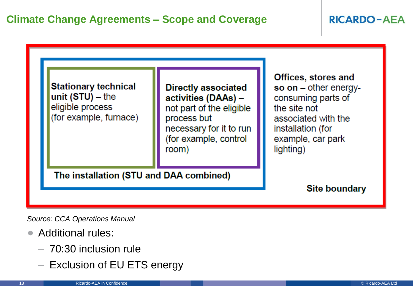# **RICARDO-AEA**



*Source: CCA Operations Manual*

- Additional rules:
	- 70:30 inclusion rule
	- Exclusion of EU ETS energy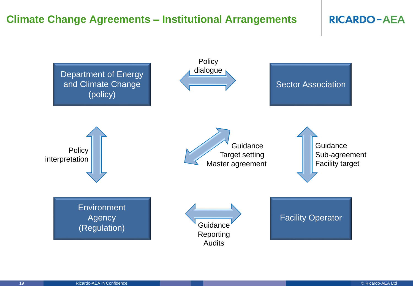# **Climate Change Agreements – Institutional Arrangements**

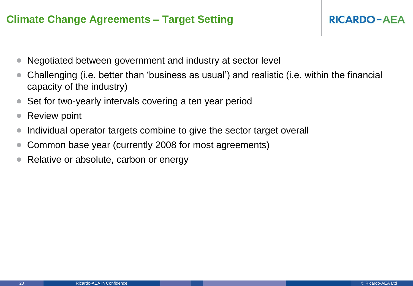# **Climate Change Agreements – Target Setting**

- Negotiated between government and industry at sector level
- Challenging (i.e. better than 'business as usual') and realistic (i.e. within the financial capacity of the industry)
- Set for two-yearly intervals covering a ten year period
- **Review point**
- Individual operator targets combine to give the sector target overall
- Common base year (currently 2008 for most agreements)
- Relative or absolute, carbon or energy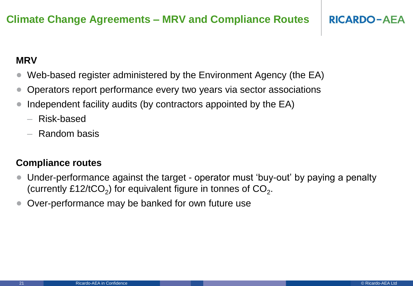# **MRV**

- Web-based register administered by the Environment Agency (the EA)
- Operators report performance every two years via sector associations
- Independent facility audits (by contractors appointed by the EA)
	- Risk-based
	- Random basis

# **Compliance routes**

- Under-performance against the target operator must 'buy-out' by paying a penalty (currently £12/tCO<sub>2</sub>) for equivalent figure in tonnes of  $CO_2$ .
- Over-performance may be banked for own future use